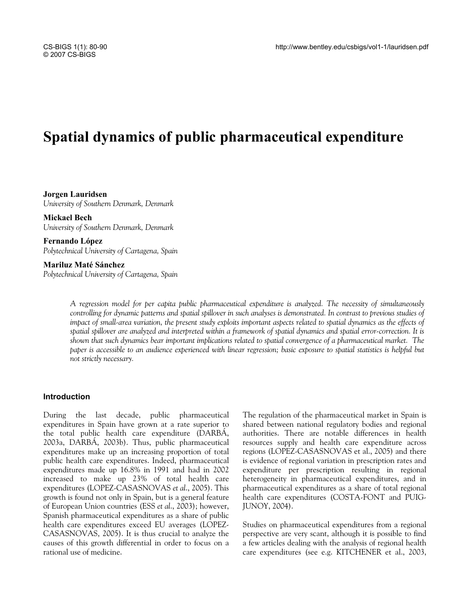# **Spatial dynamics of public pharmaceutical expenditure**

**Jorgen Lauridsen**  *University of Southern Denmark, Denmark* 

**Mickael Bech**  *University of Southern Denmark, Denmark* 

**Fernando López**  *Polytechnical University of Cartagena, Spain* 

**Mariluz Maté Sánchez**  *Polytechnical University of Cartagena, Spain* 

> *A regression model for per capita public pharmaceutical expenditure is analyzed. The necessity of simultaneously controlling for dynamic patterns and spatial spillover in such analyses is demonstrated. In contrast to previous studies of impact of small-area variation, the present study exploits important aspects related to spatial dynamics as the effects of spatial spillover are analyzed and interpreted within a framework of spatial dynamics and spatial error-correction. It is shown that such dynamics bear important implications related to spatial convergence of a pharmaceutical market. The paper is accessible to an audience experienced with linear regression; basic exposure to spatial statistics is helpful but not strictly necessary.*

#### **Introduction**

During the last decade, public pharmaceutical expenditures in Spain have grown at a rate superior to the total public health care expenditure (DARBÁ, 2003a, DARBÁ, 2003b). Thus, public pharmaceutical expenditures make up an increasing proportion of total public health care expenditures. Indeed, pharmaceutical expenditures made up 16.8% in 1991 and had in 2002 increased to make up 23% of total health care expenditures (LOPEZ-CASASNOVAS *et al*., 2005). This growth is found not only in Spain, but is a general feature of European Union countries (ESS *et al*., 2003); however, Spanish pharmaceutical expenditures as a share of public health care expenditures exceed EU averages (LOPEZ-CASASNOVAS, 2005). It is thus crucial to analyze the causes of this growth differential in order to focus on a rational use of medicine.

The regulation of the pharmaceutical market in Spain is shared between national regulatory bodies and regional authorities. There are notable differences in health resources supply and health care expenditure across regions (LOPEZ-CASASNOVAS et al., 2005) and there is evidence of regional variation in prescription rates and expenditure per prescription resulting in regional heterogeneity in pharmaceutical expenditures, and in pharmaceutical expenditures as a share of total regional health care expenditures (COSTA-FONT and PUIG-JUNOY, 2004).

Studies on pharmaceutical expenditures from a regional perspective are very scant, although it is possible to find a few articles dealing with the analysis of regional health care expenditures (see e.g. KITCHENER et al., 2003,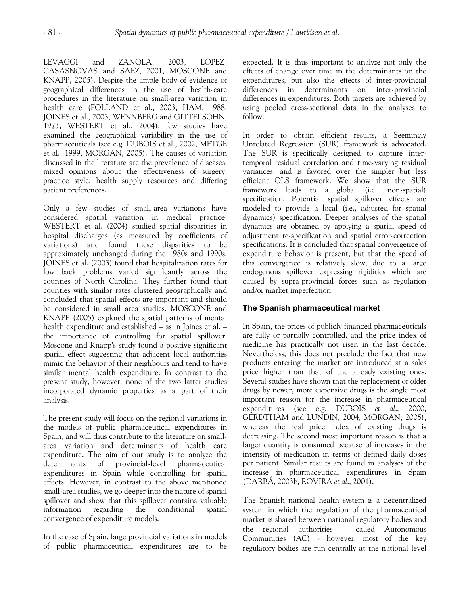LEVAGGI and ZANOLA, 2003, LOPEZ-CASASNOVAS and SAEZ, 2001, MOSCONE and KNAPP, 2005). Despite the ample body of evidence of geographical differences in the use of health-care procedures in the literature on small-area variation in health care (FOLLAND et al., 2003, HAM, 1988, JOINES et al., 2003, WENNBERG and GITTELSOHN, 1973, WESTERT et al., 2004), few studies have examined the geographical variability in the use of pharmaceuticals (see e.g. DUBOIS et al., 2002, METGE et al., 1999, MORGAN, 2005). The causes of variation discussed in the literature are the prevalence of diseases, mixed opinions about the effectiveness of surgery, practice style, health supply resources and differing patient preferences.

Only a few studies of small-area variations have considered spatial variation in medical practice. WESTERT et al. (2004) studied spatial disparities in hospital discharges (as measured by coefficients of variations) and found these disparities to be approximately unchanged during the 1980s and 1990s. JOINES et al. (2003) found that hospitalization rates for low back problems varied significantly across the counties of North Carolina. They further found that counties with similar rates clustered geographically and concluded that spatial effects are important and should be considered in small area studies. MOSCONE and KNAPP (2005) explored the spatial patterns of mental health expenditure and established – as in Joines et al. – the importance of controlling for spatial spillover. Moscone and Knapp's study found a positive significant spatial effect suggesting that adjacent local authorities mimic the behavior of their neighbours and tend to have similar mental health expenditure. In contrast to the present study, however, none of the two latter studies incorporated dynamic properties as a part of their analysis.

The present study will focus on the regional variations in the models of public pharmaceutical expenditures in Spain, and will thus contribute to the literature on smallarea variation and determinants of health care expenditure. The aim of our study is to analyze the determinants of provincial-level pharmaceutical expenditures in Spain while controlling for spatial effects. However, in contrast to the above mentioned small-area studies, we go deeper into the nature of spatial spillover and show that this spillover contains valuable information regarding the conditional spatial convergence of expenditure models.

In the case of Spain, large provincial variations in models of public pharmaceutical expenditures are to be

expected. It is thus important to analyze not only the effects of change over time in the determinants on the expenditures, but also the effects of inter-provincial differences in determinants on inter-provincial differences in expenditures. Both targets are achieved by using pooled cross-sectional data in the analyses to follow.

In order to obtain efficient results, a Seemingly Unrelated Regression (SUR) framework is advocated. The SUR is specifically designed to capture intertemporal residual correlation and time-varying residual variances, and is favored over the simpler but less efficient OLS framework. We show that the SUR framework leads to a global (i.e., non-spatial) specification. Potential spatial spillover effects are modeled to provide a local (i.e., adjusted for spatial dynamics) specification. Deeper analyses of the spatial dynamics are obtained by applying a spatial speed of adjustment re-specification and spatial error-correction specifications. It is concluded that spatial convergence of expenditure behavior is present, but that the speed of this convergence is relatively slow, due to a large endogenous spillover expressing rigidities which are caused by supra-provincial forces such as regulation and/or market imperfection.

### **The Spanish pharmaceutical market**

In Spain, the prices of publicly financed pharmaceuticals are fully or partially controlled, and the price index of medicine has practically not risen in the last decade. Nevertheless, this does not preclude the fact that new products entering the market are introduced at a sales price higher than that of the already existing ones. Several studies have shown that the replacement of older drugs by newer, more expensive drugs is the single most important reason for the increase in pharmaceutical expenditures (see e.g. DUBOIS *et al*., 2000, GERDTHAM and LUNDIN, 2004, MORGAN, 2005), whereas the real price index of existing drugs is decreasing. The second most important reason is that a larger quantity is consumed because of increases in the intensity of medication in terms of defined daily doses per patient. Similar results are found in analyses of the increase in pharmaceutical expenditures in Spain (DARBÁ, 2003b, ROVIRA *et al*., 2001).

The Spanish national health system is a decentralized system in which the regulation of the pharmaceutical market is shared between national regulatory bodies and the regional authorities – called Autonomous Communities (AC) - however, most of the key regulatory bodies are run centrally at the national level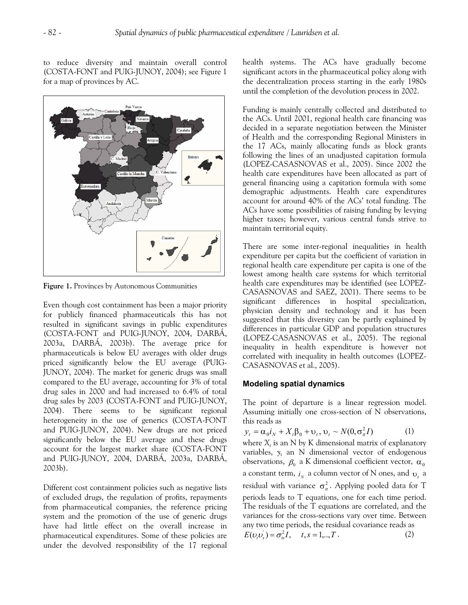to reduce diversity and maintain overall control (COSTA-FONT and PUIG-JUNOY, 2004); see Figure 1 for a map of provinces by AC.



**Figure 1.** Provinces by Autonomous Communities

Even though cost containment has been a major priority for publicly financed pharmaceuticals this has not resulted in significant savings in public expenditures (COSTA-FONT and PUIG-JUNOY, 2004, DARBÁ, 2003a, DARBÁ, 2003b). The average price for pharmaceuticals is below EU averages with older drugs priced significantly below the EU average (PUIG-JUNOY, 2004). The market for generic drugs was small compared to the EU average, accounting for 3% of total drug sales in 2000 and had increased to 6.4% of total drug sales by 2003 (COSTA-FONT and PUIG-JUNOY, 2004). There seems to be significant regional heterogeneity in the use of generics (COSTA-FONT and PUIG-JUNOY, 2004). New drugs are not priced significantly below the EU average and these drugs account for the largest market share (COSTA-FONT and PUIG-JUNOY, 2004, DARBÁ, 2003a, DARBÁ, 2003b).

Different cost containment policies such as negative lists of excluded drugs, the regulation of profits, repayments from pharmaceutical companies, the reference pricing system and the promotion of the use of generic drugs have had little effect on the overall increase in pharmaceutical expenditures. Some of these policies are under the devolved responsibility of the 17 regional health systems. The ACs have gradually become significant actors in the pharmaceutical policy along with the decentralization process starting in the early 1980s until the completion of the devolution process in 2002.

Funding is mainly centrally collected and distributed to the ACs. Until 2001, regional health care financing was decided in a separate negotiation between the Minister of Health and the corresponding Regional Ministers in the 17 ACs, mainly allocating funds as block grants following the lines of an unadjusted capitation formula (LOPEZ-CASASNOVAS et al., 2005). Since 2002 the health care expenditures have been allocated as part of general financing using a capitation formula with some demographic adjustments. Health care expenditures account for around 40% of the ACs' total funding. The ACs have some possibilities of raising funding by levying higher taxes; however, various central funds strive to maintain territorial equity.

There are some inter-regional inequalities in health expenditure per capita but the coefficient of variation in regional health care expenditure per capita is one of the lowest among health care systems for which territorial health care expenditures may be identified (see LOPEZ-CASASNOVAS and SAEZ, 2001). There seems to be significant differences in hospital specialization, physician density and technology and it has been suggested that this diversity can be partly explained by differences in particular GDP and population structures (LOPEZ-CASASNOVAS et al., 2005). The regional inequality in health expenditure is however not correlated with inequality in health outcomes (LOPEZ-CASASNOVAS et al., 2005).

#### **Modeling spatial dynamics**

The point of departure is a linear regression model. Assuming initially one cross-section of N observations, this reads as

$$
y_t = \alpha_0 i_N + X_t \beta_0 + \upsilon_t, \, \upsilon_t \sim N(0, \sigma_u^2 I) \tag{1}
$$

where  $X_t$  is an N by K dimensional matrix of explanatory variables, *yt* an N dimensional vector of endogenous observations,  $\beta_0$  a K dimensional coefficient vector,  $\alpha_0$ a constant term,  $i_{N}$  a column vector of N ones, and  $v_{t}$  a residual with variance  $\sigma_u^2$ . Applying pooled data for T periods leads to T equations, one for each time period. The residuals of the T equations are correlated, and the variances for the cross-sections vary over time. Between any two time periods, the residual covariance reads as

$$
E(\nu_{t}\nu_{s}) = \sigma_{ts}^{2}I, \quad t, s = 1,..,T.
$$
 (2)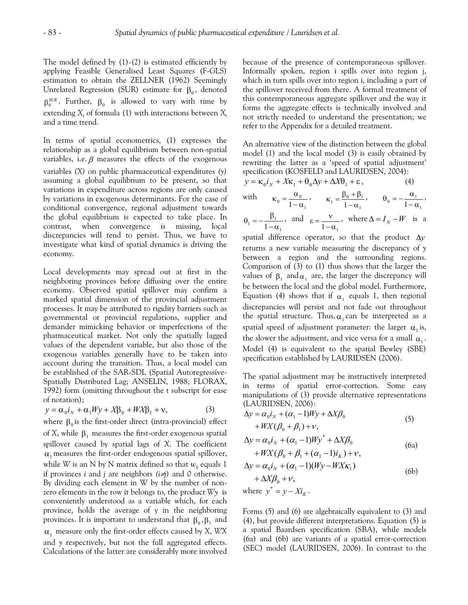The model defined by  $(1)$ - $(2)$  is estimated efficiently by applying Feasible Generalised Least Squares (F-GLS) estimation to obtain the ZELLNER (1962) Seemingly Unrelated Regression (SUR) estimate for  $\beta_0$ , denoted  $β_0^{SUR}$ . Further,  $β_0$  is allowed to vary with time by extending  $X_t$  of formula (1) with interactions between  $X_t$ and a time trend.

In terms of spatial econometrics, (1) expresses the relationship as a global equilibrium between non-spatial variables, i.e.  $\beta$  measures the effects of the exogenous variables *(X)* on public pharmaceutical expenditures *(y)* assuming a global equilibrium to be present, so that variations in expenditure across regions are only caused by variations in exogenous determinants. For the case of conditional convergence, regional adjustment towards the global equilibrium is expected to take place. In contrast, when convergence is missing, local discrepancies will tend to persist. Thus, we have to investigate what kind of spatial dynamics is driving the economy.

Local developments may spread out at first in the neighboring provinces before diffusing over the entire economy. Observed spatial spillover may confirm a marked spatial dimension of the provincial adjustment processes. It may be attributed to rigidity barriers such as governmental or provincial regulations, supplier and demander mimicking behavior or imperfections of the pharmaceutical market. Not only the spatially lagged values of the dependent variable, but also those of the exogenous variables generally have to be taken into account during the transition. Thus, a local model can be established of the SAR-SDL (Spatial Autoregressive-Spatially Distributed Lag; ANSELIN, 1988; FLORAX, 1992) form (omitting throughout the t subscript for ease of notation);

$$
y = \alpha_0 i_N + \alpha_1 W y + X \beta_0 + W X \beta_1 + v,
$$
 (3)

where  $\beta_0$  is the first-order direct (intra-provincial) effect of *X*, while  $\beta_1$  measures the first-order exogenous spatial spillover caused by spatial lags of *X*. The coefficient  $\alpha_1$  measures the first-order endogenous spatial spillover, while *W* is an N by N matrix defined so that  $w_{ii}$  equals 1 if provinces *i* and *j* are neighbors *(i*≠*j)* and 0 otherwise. By dividing each element in W by the number of nonzero elements in the row it belongs to, the product *Wy* is conveniently understood as a variable which, for each province, holds the average of y in the neighboring provinces. It is important to understand that  $\beta_0, \beta_1$  and  $\alpha_1$  measure only the first-order effects caused by X, WX and *y* respectively, but not the full aggregated effects. Calculations of the latter are considerably more involved

because of the presence of contemporaneous spillover. Informally spoken, region i spills over into region j, which in turn spills over into region i, including a part of the spillover received from there. A formal treatment of this contemporaneous aggregate spillover and the way it forms the aggregate effects is technically involved and not strictly needed to understand the presentation; we refer to the Appendix for a detailed treatment.

An alternative view of the distinction between the global model (1) and the local model (3) is easily obtained by rewriting the latter as a 'speed of spatial adjustment' specification (KOSFELD and LAURIDSEN, 2004):

$$
y = \kappa_0 i_N + X\kappa_1 + \theta_0 \Delta y + \Delta X \theta_1 + \varepsilon, \tag{4}
$$

with 
$$
\kappa_0 = \frac{\alpha_0}{1 - \alpha_1}
$$
,  $\kappa_1 = \frac{\beta_0 + \beta_1}{1 - \alpha_1}$ ,  $\theta_0 = -\frac{\alpha_1}{1 - \alpha_1}$ ,  
 $\theta_1 = -\frac{\beta_1}{1 - \alpha_1}$ , and  $\varepsilon = \frac{v}{1 - \alpha_1}$ , where  $\Delta = I_N - W$  is a

spatial difference operator, so that the product Δ*y* returns a new variable measuring the discrepancy of *y* between a region and the surrounding regions. Comparison of (3) to (1) thus shows that the larger the values of  $\beta_1$  and  $\alpha_1$  are, the larger the discrepancy will be between the local and the global model. Furthermore, Equation (4) shows that if  $\alpha_1$  equals 1, then regional discrepancies will persist and not fade out throughout the spatial structure. Thus,  $\alpha_1$  can be interpreted as a spatial speed of adjustment parameter: the larger  $\alpha_1$  is, the slower the adjustment, and vice versa for a small  $\alpha_{1}$ . Model (4) is equivalent to the spatial Bewley (SBE) specification established by LAURIDSEN (2006).

The spatial adjustment may be instructively interpreted in terms of spatial error-correction. Some easy manipulations of (3) provide alternative representations (LAURIDSEN, 2006):

$$
\Delta y = \alpha_0 i_N + (\alpha_1 - 1)Wy + \Delta X \beta_0
$$
  
+  $WX(\beta_0 + \beta_1) + v,$  (5)

$$
\Delta y = \alpha_0 i_N + (\alpha_1 - 1)Wy^* + \Delta X \beta_0
$$
\n(6a)

$$
+WX(\beta_0 + \beta_1 + (\alpha_1 - 1)i_K) + v,
$$
  
\n
$$
\Delta y = \alpha_0 i_N + (\alpha_1 - 1)(Wy - WX\kappa_1)
$$
  
\n
$$
+ \Delta X \beta_0 + v,
$$
  
\nwhere  $y^* = y - Xi_K$ . (6b)

Forms (5) and (6) are algebraically equivalent to (3) and (4), but provide different interpretations. Equation (5) is a spatial Baardsen specification (SBA), while models (6a) and (6b) are variants of a spatial error-correction (SEC) model (LAURIDSEN, 2006). In contrast to the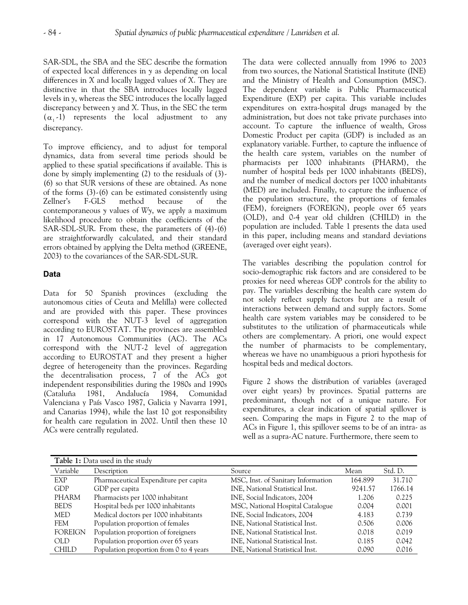SAR-SDL, the SBA and the SEC describe the formation of expected local differences in *y* as depending on local differences in *X* and locally lagged values of *X*. They are distinctive in that the SBA introduces locally lagged levels in *y*, whereas the SEC introduces the locally lagged discrepancy between *y* and *X*. Thus, in the SEC the term  $(\alpha_1$ -1) represents the local adjustment to any discrepancy.

To improve efficiency, and to adjust for temporal dynamics, data from several time periods should be applied to these spatial specifications if available. This is done by simply implementing (2) to the residuals of (3)- (6) so that SUR versions of these are obtained. As none of the forms (3)-(6) can be estimated consistently using Zellner's F-GLS method because of the contemporaneous *y* values of *Wy*, we apply a maximum likelihood procedure to obtain the coefficients of the SAR-SDL-SUR. From these, the parameters of (4)-(6) are straightforwardly calculated, and their standard errors obtained by applying the Delta method (GREENE, 2003) to the covariances of the SAR-SDL-SUR.

#### **Data**

Data for 50 Spanish provinces (excluding the autonomous cities of Ceuta and Melilla) were collected and are provided with this paper. These provinces correspond with the NUT-3 level of aggregation according to EUROSTAT. The provinces are assembled in 17 Autonomous Communities (AC). The ACs correspond with the NUT-2 level of aggregation according to EUROSTAT and they present a higher degree of heterogeneity than the provinces. Regarding the decentralisation process, 7 of the ACs got independent responsibilities during the 1980s and 1990s (Cataluña 1981, Andalucía 1984, Comunidad Valenciana y País Vasco 1987, Galicia y Navarra 1991, and Canarias 1994), while the last 10 got responsibility for health care regulation in 2002. Until then these 10 ACs were centrally regulated.

The data were collected annually from 1996 to 2003 from two sources, the National Statistical Institute (INE) and the Ministry of Health and Consumption (MSC). The dependent variable is Public Pharmaceutical Expenditure (EXP) per capita. This variable includes expenditures on extra-hospital drugs managed by the administration, but does not take private purchases into account. To capture the influence of wealth, Gross Domestic Product per capita (GDP) is included as an explanatory variable. Further, to capture the influence of the health care system, variables on the number of pharmacists per 1000 inhabitants (PHARM), the number of hospital beds per 1000 inhabitants (BEDS), and the number of medical doctors per 1000 inhabitants (MED) are included. Finally, to capture the influence of the population structure, the proportions of females (FEM), foreigners (FOREIGN), people over 65 years (OLD), and 0-4 year old children (CHILD) in the population are included. Table 1 presents the data used in this paper, including means and standard deviations (averaged over eight years).

The variables describing the population control for socio-demographic risk factors and are considered to be proxies for need whereas GDP controls for the ability to pay. The variables describing the health care system do not solely reflect supply factors but are a result of interactions between demand and supply factors. Some health care system variables may be considered to be substitutes to the utilization of pharmaceuticals while others are complementary. A priori, one would expect the number of pharmacists to be complementary, whereas we have no unambiguous a priori hypothesis for hospital beds and medical doctors.

Figure 2 shows the distribution of variables (averaged over eight years) by provinces. Spatial patterns are predominant, though not of a unique nature. For expenditures, a clear indication of spatial spillover is seen. Comparing the maps in Figure 2 to the map of ACs in Figure 1, this spillover seems to be of an intra- as well as a supra-AC nature. Furthermore, there seem to

| Table 1: Data used in the study |                                           |                                    |         |         |  |  |  |  |
|---------------------------------|-------------------------------------------|------------------------------------|---------|---------|--|--|--|--|
| Variable                        | Description                               | Source                             | Mean    | Std. D. |  |  |  |  |
| EXP                             | Pharmaceutical Expenditure per capita     | MSC, Inst. of Sanitary Information | 164.899 | 31.710  |  |  |  |  |
| <b>GDP</b>                      | GDP per capita                            | INE, National Statistical Inst.    | 9241.57 | 1766.14 |  |  |  |  |
| <b>PHARM</b>                    | Pharmacists per 1000 inhabitant           | INE, Social Indicators, 2004       | 1.206   | 0.225   |  |  |  |  |
| <b>BEDS</b>                     | Hospital beds per 1000 inhabitants        | MSC, National Hospital Catalogue   | 0.004   | 0.001   |  |  |  |  |
| MED                             | Medical doctors per 1000 inhabitants      | INE, Social Indicators, 2004       | 4.183   | 0.739   |  |  |  |  |
| <b>FEM</b>                      | Population proportion of females          | INE, National Statistical Inst.    | 0.506   | 0.006   |  |  |  |  |
| <b>FOREIGN</b>                  | Population proportion of foreigners       | INE, National Statistical Inst.    | 0.018   | 0.019   |  |  |  |  |
| <b>OLD</b>                      | Population proportion over 65 years       | INE, National Statistical Inst.    | 0.185   | 0.042   |  |  |  |  |
| <b>CHILD</b>                    | Population proportion from $0$ to 4 years | INE, National Statistical Inst.    | 0.090   | 0.016   |  |  |  |  |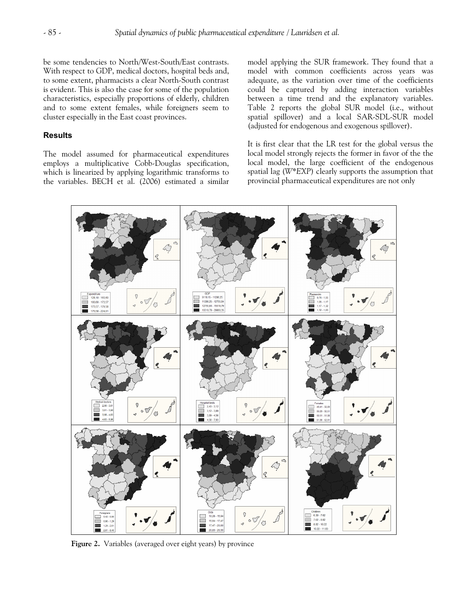be some tendencies to North/West-South/East contrasts. With respect to GDP, medical doctors, hospital beds and, to some extent, pharmacists a clear North-South contrast is evident. This is also the case for some of the population characteristics, especially proportions of elderly, children and to some extent females, while foreigners seem to cluster especially in the East coast provinces.

#### **Results**

The model assumed for pharmaceutical expenditures employs a multiplicative Cobb-Douglas specification, which is linearized by applying logarithmic transforms to the variables. BECH et al. (2006) estimated a similar model applying the SUR framework. They found that a model with common coefficients across years was adequate, as the variation over time of the coefficients could be captured by adding interaction variables between a time trend and the explanatory variables. Table 2 reports the global SUR model (i.e., without spatial spillover) and a local SAR-SDL-SUR model (adjusted for endogenous and exogenous spillover).

It is first clear that the LR test for the global versus the local model strongly rejects the former in favor of the the local model, the large coefficient of the endogenous spatial lag (*W\*EXP*) clearly supports the assumption that provincial pharmaceutical expenditures are not only



**Figure 2.** Variables (averaged over eight years) by province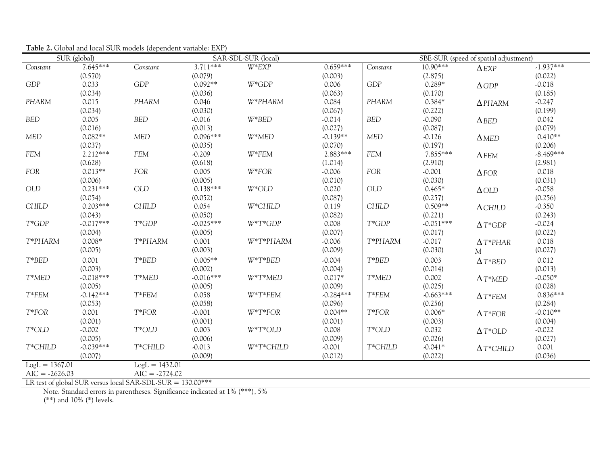|                                                              | SUR (global) |                  |             | SAR-SDL-SUR (local) |             |                             |             | SBE-SUR (speed of spatial adjustment) |             |
|--------------------------------------------------------------|--------------|------------------|-------------|---------------------|-------------|-----------------------------|-------------|---------------------------------------|-------------|
| Constant                                                     | $7.645***$   | Constant         | $3.711***$  | $W*EXP$             | $0.659***$  | Constant                    | 10.90***    | $\triangle$ EXP                       | $-1.937***$ |
|                                                              | (0.570)      |                  | (0.079)     |                     | (0.003)     |                             | (2.875)     |                                       | (0.022)     |
| <b>GDP</b>                                                   | 0.033        | GDP              | $0.092**$   | $W^*GDP$            | 0.006       | GDP                         | $0.289*$    | $\triangle$ GDP                       | $-0.018$    |
|                                                              | (0.034)      |                  | (0.036)     |                     | (0.063)     |                             | (0.170)     |                                       | (0.185)     |
| PHARM                                                        | 0.015        | PHARM            | 0.046       | W*PHARM             | 0.084       | PHARM                       | $0.384*$    | $\Delta$ PHARM                        | $-0.247$    |
|                                                              | (0.034)      |                  | (0.030)     |                     | (0.067)     |                             | (0.222)     |                                       | (0.199)     |
| <b>BED</b>                                                   | 0.005        | <b>BED</b>       | $-0.016$    | $W^*BED$            | $-0.014$    | <b>BED</b>                  | $-0.090$    | $\triangle$ BED                       | 0.042       |
|                                                              | (0.016)      |                  | (0.013)     |                     | (0.027)     |                             | (0.087)     |                                       | (0.079)     |
| <b>MED</b>                                                   | $0.082**$    | <b>MED</b>       | $0.096***$  | W*MED               | $-0.139**$  | <b>MED</b>                  | $-0.126$    | $\Delta$ MED                          | $0.410**$   |
|                                                              | (0.037)      |                  | (0.035)     |                     | (0.070)     |                             | (0.197)     |                                       | (0.206)     |
| FEM                                                          | $2.212***$   | <b>FEM</b>       | $-0.209$    | W*FEM               | 2.883***    | FEM                         | 7.855***    | $\Delta$ FEM                          | $-8.469***$ |
|                                                              | (0.628)      |                  | (0.618)     |                     | (1.014)     |                             | (2.910)     |                                       | (2.981)     |
| <b>FOR</b>                                                   | $0.013**$    | FOR              | 0.005       | $W*FOR$             | $-0.006$    | FOR                         | $-0.001$    | $\triangle$ FOR                       | 0.018       |
|                                                              | (0.006)      |                  | (0.005)     |                     | (0.010)     |                             | (0.030)     |                                       | (0.031)     |
| OLD                                                          | $0.231***$   | OLD              | $0.138***$  | $W^*OLD$            | 0.020       | $\ensuremath{\mathsf{OLD}}$ | $0.465*$    | $\Delta$ OLD                          | $-0.058$    |
|                                                              | (0.054)      |                  | (0.052)     |                     | (0.087)     |                             | (0.257)     |                                       | (0.256)     |
| <b>CHILD</b>                                                 | $0.203***$   | <b>CHILD</b>     | 0.054       | W*CHILD             | 0.119       | <b>CHILD</b>                | $0.509**$   | $\Delta$ CHILD                        | $-0.350$    |
|                                                              | (0.043)      |                  | (0.050)     |                     | (0.082)     |                             | (0.221)     |                                       | (0.243)     |
| $T^*GDP$                                                     | $-0.017***$  | $T*GDP$          | $-0.025***$ | $W^*T^*GDP$         | 0.008       | $T*GDP$                     | $-0.051***$ | $\Delta T^*GDP$                       | $-0.024$    |
|                                                              | (0.004)      |                  | (0.005)     |                     | (0.007)     |                             | (0.017)     |                                       | (0.022)     |
| T*PHARM                                                      | $0.008*$     | T*PHARM          | 0.001       | W*T*PHARM           | $-0.006$    | T*PHARM                     | $-0.017$    | $\Delta T^*$ PHAR                     | 0.018       |
|                                                              | (0.005)      |                  | (0.003)     |                     | (0.009)     |                             | (0.030)     | M                                     | (0.027)     |
| $T*BED$                                                      | 0.001        | T*BED            | $0.005**$   | $W^*T^*BED$         | $-0.004$    | T*BED                       | 0.003       | $\Delta T^* BED$                      | 0.012       |
|                                                              | (0.003)      |                  | (0.002)     |                     | (0.004)     |                             | (0.014)     |                                       | (0.013)     |
| T*MED                                                        | $-0.018***$  | T*MED            | $-0.016***$ | $W^*T^*MED$         | $0.017*$    | T*MED                       | 0.002       | $\Delta T^*$ MED                      | $-0.050*$   |
|                                                              | (0.005)      |                  | (0.005)     |                     | (0.009)     |                             | (0.025)     |                                       | (0.028)     |
| $T*FEM$                                                      | $-0.142***$  | $T*FEM$          | 0.058       | $W^*T^*FEM$         | $-0.284***$ | $T*FEM$                     | $-0.663***$ | $\Delta T$ *FEM                       | $0.836***$  |
|                                                              | (0.053)      |                  | (0.058)     |                     | (0.096)     |                             | (0.256)     |                                       | (0.284)     |
| $T*FOR$                                                      | 0.001        | $T*FOR$          | $-0.001$    | $W^*T^*FOR$         | $0.004**$   | $T*FOR$                     | $0.006*$    | $\Delta T^*$ FOR                      | $-0.010**$  |
|                                                              | (0.001)      |                  | (0.001)     |                     | (0.001)     |                             | (0.003)     |                                       | (0.004)     |
| $T^*OLD$                                                     | $-0.002$     | $T^*OLD$         | 0.003       | $W^*T^*OLD$         | 0.008       | $T^{\ast}\mathrm{OLD}$      | 0.032       | $\Delta T^*OLD$                       | $-0.022$    |
|                                                              | (0.005)      |                  | (0.006)     |                     | (0.009)     |                             | (0.026)     |                                       | (0.027)     |
| T*CHILD                                                      | $-0.039***$  | T*CHILD          | $-0.013$    | W*T*CHILD           | $-0.001$    | T*CHILD                     | $-0.041*$   | $\Delta T^*$ CHILD                    | 0.001       |
|                                                              | (0.007)      |                  | (0.009)     |                     | (0.012)     |                             | (0.022)     |                                       | (0.036)     |
| $Log L = 1367.01$                                            |              | $LogL = 1432.01$ |             |                     |             |                             |             |                                       |             |
| $AIC = -2626.03$                                             |              | $AIC = -2724.02$ |             |                     |             |                             |             |                                       |             |
| LR test of global SUR versus local SAR-SDL-SUR = $130.00***$ |              |                  |             |                     |             |                             |             |                                       |             |

**Table 2.** Global and local SUR models (dependent variable: EXP)

Note. Standard errors in parentheses. Significance indicated at 1% (\*\*\*), 5%

(\*\*) and 10% (\*) levels.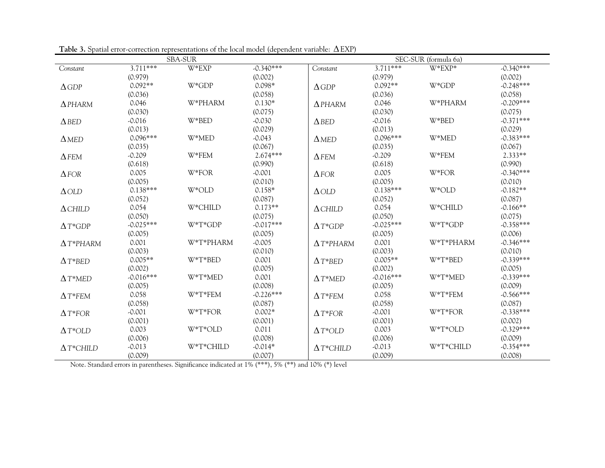| <b>SBA-SUR</b>     |             |             |             |                    | SEC-SUR (formula 6a) |             |             |  |
|--------------------|-------------|-------------|-------------|--------------------|----------------------|-------------|-------------|--|
| Constant           | $3.711***$  | W*EXP       | $-0.340***$ | Constant           | $3.711***$           | $W*EXP*$    | $-0.340***$ |  |
|                    | (0.979)     |             | (0.002)     |                    | (0.979)              |             | (0.002)     |  |
| $\triangle$ GDP    | $0.092**$   | W*GDP       | $0.098*$    | $\triangle$ GDP    | $0.092**$            | W*GDP       | $-0.248***$ |  |
|                    | (0.036)     |             | (0.058)     |                    | (0.036)              |             | (0.058)     |  |
| $\Delta$ PHARM     | 0.046       | W*PHARM     | $0.130*$    | $\Delta$ PHARM     | 0.046                | W*PHARM     | $-0.209***$ |  |
|                    | (0.030)     |             | (0.075)     |                    | (0.030)              |             | (0.075)     |  |
| $\triangle$ BED    | $-0.016$    | W*BED       | $-0.030$    | $\triangle$ BED    | $-0.016$             | W*BED       | $-0.371***$ |  |
|                    | (0.013)     |             | (0.029)     |                    | (0.013)              |             | (0.029)     |  |
| $\triangle$ MED    | $0.096***$  | W*MED       | $-0.043$    | $\triangle$ MED    | $0.096***$           | W*MED       | $-0.383***$ |  |
|                    | (0.035)     |             | (0.067)     |                    | (0.035)              |             | (0.067)     |  |
| $\Delta$ FEM       | $-0.209$    | $W*FEM$     | 2.674***    | $\Delta$ FEM       | $-0.209$             | W*FEM       | $2.333**$   |  |
|                    | (0.618)     |             | (0.990)     |                    | (0.618)              |             | (0.990)     |  |
| $\triangle$ FOR    | 0.005       | W*FOR       | $-0.001$    | $\triangle$ FOR    | 0.005                | W*FOR       | $-0.340***$ |  |
|                    | (0.005)     |             | (0.010)     |                    | (0.005)              |             | (0.010)     |  |
| $\triangle$ OLD    | $0.138***$  | W*OLD       | $0.158*$    | $\triangle$ OLD    | $0.138***$           | W*OLD       | $-0.182**$  |  |
|                    | (0.052)     |             | (0.087)     |                    | (0.052)              |             | (0.087)     |  |
| $\triangle$ CHILD  | 0.054       | W*CHILD     | $0.173**$   | $\Delta$ CHILD     | 0.054                | W*CHILD     | $-0.166**$  |  |
|                    | (0.050)     |             | (0.075)     |                    | (0.050)              |             | (0.075)     |  |
| $\Delta T^*GDP$    | $-0.025***$ | $W^*T^*GDP$ | $-0.017***$ | $\Delta T^*GDP$    | $-0.025***$          | $W^*T^*GDP$ | $-0.358***$ |  |
|                    | (0.005)     |             | (0.005)     |                    | (0.005)              |             | (0.006)     |  |
| $\Delta T^*$ PHARM | 0.001       | W*T*PHARM   | $-0.005$    | $\Delta T^*$ PHARM | 0.001                | W*T*PHARM   | $-0.346***$ |  |
|                    | (0.003)     |             | (0.010)     |                    | (0.003)              |             | (0.010)     |  |
| $\Delta T^* BED$   | $0.005**$   | W*T*BED     | 0.001       | $\Delta T^* BED$   | $0.005**$            | W*T*BED     | $-0.339***$ |  |
|                    | (0.002)     |             | (0.005)     |                    | (0.002)              |             | (0.005)     |  |
| $\Delta T^*$ MED   | $-0.016***$ | W*T*MED     | 0.001       | $\Delta T^*$ MED   | $-0.016***$          | W*T*MED     | $-0.339***$ |  |
|                    | (0.005)     |             | (0.008)     |                    | (0.005)              |             | (0.009)     |  |
| $\Delta T$ *FEM    | 0.058       | W*T*FEM     | $-0.226***$ | $\Delta T$ *FEM    | 0.058                | W*T*FEM     | $-0.566***$ |  |
|                    | (0.058)     |             | (0.087)     |                    | (0.058)              |             | (0.087)     |  |
| $\Delta T^*$ FOR   | $-0.001$    | W*T*FOR     | $0.002*$    | $\Delta T^*FOR$    | $-0.001$             | W*T*FOR     | $-0.338***$ |  |
|                    | (0.001)     |             | (0.001)     |                    | (0.001)              |             | (0.002)     |  |
| $\Delta T^*OLD$    | 0.003       | $W^*T^*OLD$ | 0.011       | $\Delta T^*OLD$    | 0.003                | W*T*OLD     | $-0.329***$ |  |
|                    | (0.006)     |             | (0.008)     |                    | (0.006)              |             | (0.009)     |  |
| $\Delta T^*$ CHILD | $-0.013$    | W*T*CHILD   | $-0.014*$   | $\Delta T^*$ CHILD | $-0.013$             | W*T*CHILD   | $-0.354***$ |  |
|                    | (0.009)     |             | (0.007)     |                    | (0.009)              |             | (0.008)     |  |

**Table 3.** Spatial error-correction representations of the local model (dependent variable: ΔEXP)

Note. Standard errors in parentheses. Significance indicated at 1% (\*\*\*), 5% (\*\*) and 10% (\*) level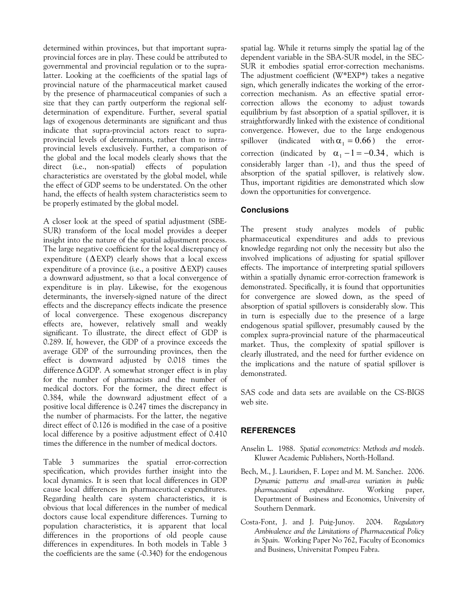determined within provinces, but that important supraprovincial forces are in play. These could be attributed to governmental and provincial regulation or to the supralatter. Looking at the coefficients of the spatial lags of provincial nature of the pharmaceutical market caused by the presence of pharmaceutical companies of such a size that they can partly outperform the regional selfdetermination of expenditure. Further, several spatial lags of exogenous determinants are significant and thus indicate that supra-provincial actors react to supraprovincial levels of determinants, rather than to intraprovincial levels exclusively. Further, a comparison of the global and the local models clearly shows that the direct (i.e., non-spatial) effects of population characteristics are overstated by the global model, while the effect of GDP seems to be understated. On the other hand, the effects of health system characteristics seem to be properly estimated by the global model.

A closer look at the speed of spatial adjustment (SBE-SUR) transform of the local model provides a deeper insight into the nature of the spatial adjustment process. The large negative coefficient for the local discrepancy of expenditure  $(\Delta$ EXP) clearly shows that a local excess expenditure of a province (i.e., a positive  $\triangle$ EXP) causes a downward adjustment, so that a local convergence of expenditure is in play. Likewise, for the exogenous determinants, the inversely-signed nature of the direct effects and the discrepancy effects indicate the presence of local convergence. These exogenous discrepancy effects are, however, relatively small and weakly significant. To illustrate, the direct effect of GDP is 0.289. If, however, the GDP of a province exceeds the average GDP of the surrounding provinces, then the effect is downward adjusted by 0.018 times the difference  $\Delta$  GDP. A somewhat stronger effect is in play for the number of pharmacists and the number of medical doctors. For the former, the direct effect is 0.384, while the downward adjustment effect of a positive local difference is 0.247 times the discrepancy in the number of pharmacists. For the latter, the negative direct effect of 0.126 is modified in the case of a positive local difference by a positive adjustment effect of 0.410 times the difference in the number of medical doctors.

Table 3 summarizes the spatial error-correction specification, which provides further insight into the local dynamics. It is seen that local differences in GDP cause local differences in pharmaceutical expenditures. Regarding health care system characteristics, it is obvious that local differences in the number of medical doctors cause local expenditure differences. Turning to population characteristics, it is apparent that local differences in the proportions of old people cause differences in expenditures. In both models in Table 3 the coefficients are the same (-0.340) for the endogenous

spillover (indicated with  $\alpha_1 = 0.66$ ) the errorcorrection (indicated by  $\alpha_1 - 1 = -0.34$ , which is spatial lag. While it returns simply the spatial lag of the dependent variable in the SBA-SUR model, in the SEC-SUR it embodies spatial error-correction mechanisms. The adjustment coefficient (W\*EXP\*) takes a negative sign, which generally indicates the working of the errorcorrection mechanism. As an effective spatial errorcorrection allows the economy to adjust towards equilibrium by fast absorption of a spatial spillover, it is straightforwardly linked with the existence of conditional convergence. However, due to the large endogenous considerably larger than -1), and thus the speed of absorption of the spatial spillover, is relatively slow. Thus, important rigidities are demonstrated which slow down the opportunities for convergence.

#### **Conclusions**

The present study analyzes models of public pharmaceutical expenditures and adds to previous knowledge regarding not only the necessity but also the involved implications of adjusting for spatial spillover effects. The importance of interpreting spatial spillovers within a spatially dynamic error-correction framework is demonstrated. Specifically, it is found that opportunities for convergence are slowed down, as the speed of absorption of spatial spillovers is considerably slow. This in turn is especially due to the presence of a large endogenous spatial spillover, presumably caused by the complex supra-provincial nature of the pharmaceutical market. Thus, the complexity of spatial spillover is clearly illustrated, and the need for further evidence on the implications and the nature of spatial spillover is demonstrated.

SAS code and data sets are available on the CS-BIGS web site.

#### **REFERENCES**

- Anselin L. 1988. *Spatial econometrics: Methods and models*. Kluwer Academic Publishers, North-Holland.
- Bech, M., J. Lauridsen, F. Lopez and M. M. Sanchez. 2006. *Dynamic patterns and small-area variation in public pharmaceutical expenditure*. Working paper, Department of Business and Economics, University of Southern Denmark.
- Costa-Font, J. and J. Puig-Junoy. 2004. *Regulatory Ambivalence and the Limitations of Pharmaceutical Policy in Spain*. Working Paper No 762, Faculty of Economics and Business, Universitat Pompeu Fabra.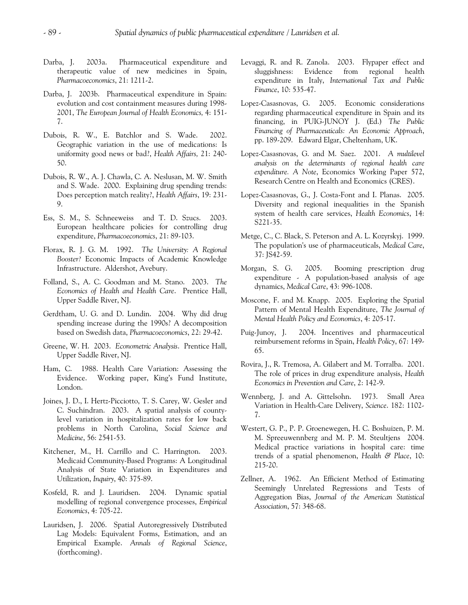- Darba, J. 2003a. Pharmaceutical expenditure and therapeutic value of new medicines in Spain, *Pharmacoeconomics*, 21: 1211-2.
- Darba, J. 2003b. Pharmaceutical expenditure in Spain: evolution and cost containment measures during 1998- 2001, *The European Journal of Health Economics,* 4: 151- 7.
- Dubois, R. W., E. Batchlor and S. Wade. 2002. Geographic variation in the use of medications: Is uniformity good news or bad?, *Health Affairs,* 21: 240- 50.
- Dubois, R. W., A. J. Chawla, C. A. Neslusan, M. W. Smith and S. Wade. 2000. Explaining drug spending trends: Does perception match reality?, *Health Affairs*, 19: 231- 9.
- Ess, S. M., S. Schneeweiss and T. D. Szucs. 2003. European healthcare policies for controlling drug expenditure, *Pharmacoeconomics*, 21: 89-103.
- Florax, R. J. G. M. 1992. *The University: A Regional Booster?* Economic Impacts of Academic Knowledge Infrastructure. Aldershot, Avebury.
- Folland, S., A. C. Goodman and M. Stano. 2003. *The Economics of Health and Health Care*. Prentice Hall, Upper Saddle River, NJ.
- Gerdtham, U. G. and D. Lundin. 2004. Why did drug spending increase during the 1990s? A decomposition based on Swedish data, *Pharmacoeconomics*, 22: 29-42.
- Greene, W. H. 2003. *Econometric Analysis*. Prentice Hall, Upper Saddle River, NJ.
- Ham, C. 1988. Health Care Variation: Assessing the Evidence. Working paper, King's Fund Institute, London.
- Joines, J. D., I. Hertz-Picciotto, T. S. Carey, W. Gesler and C. Suchindran. 2003. A spatial analysis of countylevel variation in hospitalization rates for low back problems in North Carolina, *Social Science and Medicine*, 56: 2541-53.
- Kitchener, M., H. Carrillo and C. Harrington. 2003. Medicaid Community-Based Programs: A Longitudinal Analysis of State Variation in Expenditures and Utilization, *Inquiry*, 40: 375-89.
- Kosfeld, R. and J. Lauridsen. 2004. Dynamic spatial modelling of regional convergence processes, *Empirical Economics*, 4: 705-22.
- Lauridsen, J. 2006. Spatial Autoregressively Distributed Lag Models: Equivalent Forms, Estimation, and an Empirical Example. *Annals of Regional Science*, (forthcoming).
- Levaggi, R. and R. Zanola. 2003. Flypaper effect and sluggishness: Evidence from regional health expenditure in Italy, *International Tax and Public Finance*, 10: 535-47.
- Lopez-Casasnovas, G. 2005. Economic considerations regarding pharmaceutical expenditure in Spain and its financing, in PUIG-JUNOY J. (Ed.) *The Public Financing of Pharmaceuticals: An Economic Approach*, pp. 189-209. Edward Elgar, Cheltenham, UK.
- Lopez-Casasnovas, G. and M. Saez. 2001. *A multilevel analysis on the determinants of regional health care expenditure. A Note*, Economics Working Paper 572, Research Centre on Health and Economics (CRES).
- Lopez-Casasnovas, G., J. Costa-Font and I. Planas. 2005. Diversity and regional inequalities in the Spanish system of health care services, *Health Economics*, 14: S221-35.
- Metge, C., C. Black, S. Peterson and A. L. Kozyrskyj. 1999. The population's use of pharmaceuticals, *Medical Care*, 37: JS42-59.
- Morgan, S. G. 2005. Booming prescription drug expenditure - A population-based analysis of age dynamics, *Medical Care*, 43: 996-1008.
- Moscone, F. and M. Knapp. 2005. Exploring the Spatial Pattern of Mental Health Expenditure, *The Journal of Mental Health Policy and Economics*, 4: 205-17.
- Puig-Junoy, J. 2004. Incentives and pharmaceutical reimbursement reforms in Spain, *Health Policy*, 67: 149- 65.
- Rovira, J., R. Tremosa, A. Gilabert and M. Torralba. 2001. The role of prices in drug expenditure analysis, *Health Economics in Prevention and Care*, 2: 142-9.
- Wennberg, J. and A. Gittelsohn. 1973. Small Area Variation in Health-Care Delivery, *Science*. 182: 1102- 7.
- Westert, G. P., P. P. Groenewegen, H. C. Boshuizen, P. M. M. Spreeuwennberg and M. P. M. Steultjens 2004. Medical practice variations in hospital care: time trends of a spatial phenomenon, *Health & Place*, 10: 215-20.
- Zellner, A. 1962. An Efficient Method of Estimating Seemingly Unrelated Regressions and Tests of Aggregation Bias, *Journal of the American Statistical Association*, 57: 348-68.